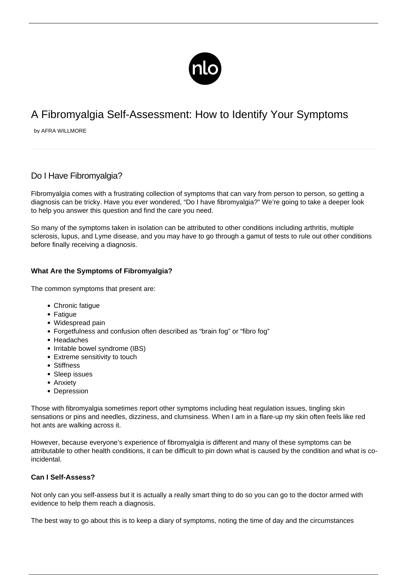

# A Fibromyalgia Self-Assessment: How to Identify Your Symptoms

by AFRA WILLMORE

# Do I Have Fibromvalgia?

Fibromyalgia comes with a frustrating collection of symptoms that can vary from person to person, so getting a diagnosis can be tricky. Have you ever wondered, "Do I have fibromyalgia?" We're going to take a deeper look to help you answer this question and find the care you need.

So many of the symptoms taken in isolation can be attributed to other conditions including arthritis, multiple sclerosis, lupus, and Lyme disease, and you may have to go through a gamut of tests to rule out other conditions before finally receiving a diagnosis.

# **What Are the Symptoms of Fibromyalgia?**

The common symptoms that present are:

- Chronic fatigue
- Fatigue
- Widespread pain
- Forgetfulness and confusion often described as "brain fog" or "fibro fog"
- Headaches
- Irritable bowel syndrome (IBS)
- Extreme sensitivity to touch
- Stiffness
- Sleep issues
- Anxiety
- Depression

Those with fibromyalgia sometimes report other symptoms including [heat regulation issues,](/fibromyalgia-and-heat/) tingling skin sensations or pins and needles, [dizziness,](https://fibromyalgiahealth.today/fibro-facts/vertigo-and-fibromyalgia/) and clumsiness. When I am in a flare-up my skin often feels like red hot ants are walking across it.

However, because everyone's experience of fibromyalgia is different and many of these symptoms can be attributable to other health conditions, it can be difficult to pin down what is caused by the condition and what is coincidental.

# **Can I Self-Assess?**

Not only can you self-assess but it is actually a really smart thing to do so you can go to the doctor armed with evidence to help them [reach a diagnosis.](/diagnosed-with-fibromyalgia/)

The best way to go about this is to keep a diary of symptoms, noting the time of day and the circumstances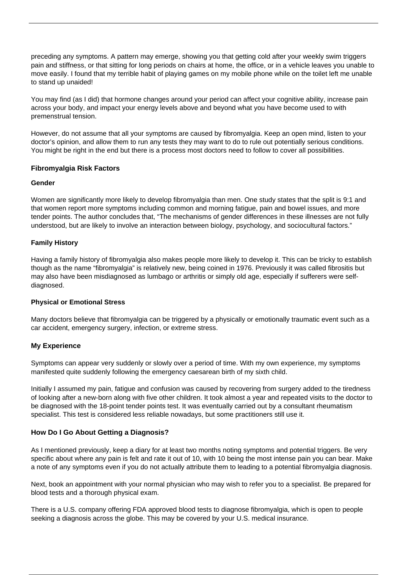preceding any symptoms. A pattern may emerge, showing you that getting cold after your weekly swim triggers pain and stiffness, or that sitting for long periods on chairs at home, the office, or in a vehicle leaves you unable to move easily. I found that my terrible habit of playing games on my mobile phone while on the toilet left me unable to stand up unaided!

You may find (as I did) that hormone changes around your period can affect your cognitive ability, increase pain across your body, and impact your energy levels above and beyond what you have become used to with premenstrual tension.

However, do not assume that all your symptoms are caused by fibromyalgia. Keep an open mind, listen to your doctor's opinion, and allow them to run any tests they may want to do to rule out potentially serious conditions. You might be right in the end but there is a process most doctors need to follow to cover all possibilities.

# **Fibromyalgia Risk Factors**

# **Gender**

Women are significantly more likely to develop fibromyalgia than men. One study states that [the split is 9:1](https://pubmed.ncbi.nlm.nih.gov/11286669/) and that women report more symptoms including common and morning fatigue, pain and bowel issues, and more tender points. The author concludes that, "The mechanisms of gender differences in these illnesses are not fully understood, but are likely to involve an interaction between biology, psychology, and sociocultural factors."

# **Family History**

Having a family history of fibromyalgia also makes people more likely to develop it. This can be tricky to establish though as the name "fibromyalgia" is relatively new, being coined in 1976. Previously it was called fibrositis but may also have been misdiagnosed as lumbago or arthritis or simply old age, especially if sufferers were selfdiagnosed.

# **Physical or Emotional Stress**

Many doctors believe that fibromyalgia can be triggered by a physically or emotionally traumatic event such as a car accident, emergency surgery, infection, or extreme stress.

# **My Experience**

Symptoms can appear very suddenly or slowly over a period of time. With my own experience, my symptoms manifested quite suddenly following the emergency caesarean birth of my sixth child.

Initially I assumed my pain, fatigue and confusion was caused by recovering from surgery added to the tiredness of looking after a new-born along with five other children. It took almost a year and repeated visits to the doctor to be diagnosed with the 18-point tender points test. It was eventually carried out by a consultant rheumatism specialist. This test is considered less reliable nowadays, but some practitioners still use it.

# **How Do I Go About Getting a Diagnosis?**

As I mentioned previously, keep a diary for at least two months noting symptoms and potential triggers. Be very specific about where any pain is felt and rate it out of 10, with 10 being the most intense pain you can bear. Make a note of any symptoms even if you do not actually attribute them to leading to a potential fibromyalgia diagnosis.

Next, book an appointment with your normal physician who may wish to refer you to a specialist. Be prepared for blood tests and a thorough physical exam.

There is a U.S. company offering FDA approved blood tests to diagnose fibromyalgia, which is open to people seeking a diagnosis across the globe. This may be covered by your U.S. medical insurance.